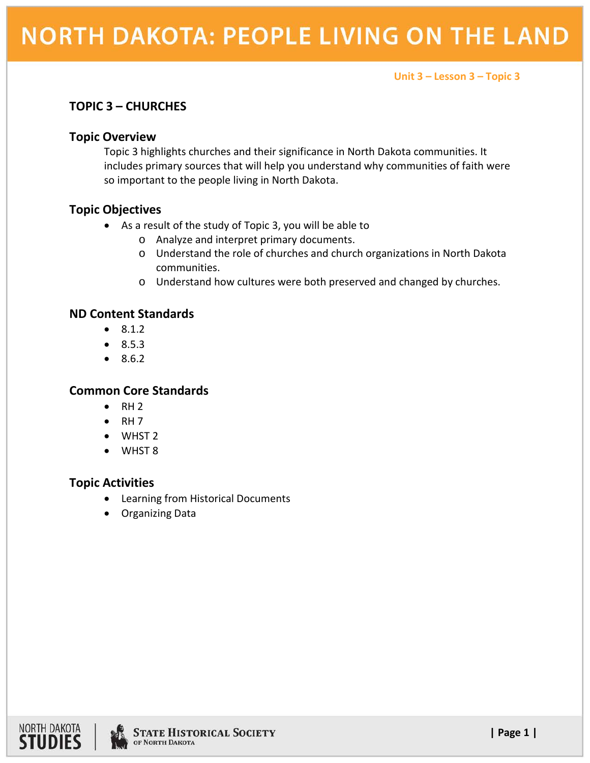## **NORTH DAKOTA: PEOPLE LIVING ON THE LAND**

**Unit 3 – Lesson 3 – Topic 3**

### **TOPIC 3 – CHURCHES**

#### **Topic Overview**

Topic 3 highlights churches and their significance in North Dakota communities. It includes primary sources that will help you understand why communities of faith were so important to the people living in North Dakota.

### **Topic Objectives**

- As a result of the study of Topic 3, you will be able to
	- o Analyze and interpret primary documents.
	- o Understand the role of churches and church organizations in North Dakota communities.
	- o Understand how cultures were both preserved and changed by churches.

### **ND Content Standards**

- 8.1.2
- 8.5.3
- 8.6.2

### **Common Core Standards**

- $\bullet$  RH 2
- $\bullet$  RH 7
- WHST 2
- WHST 8

### **Topic Activities**

- Learning from Historical Documents
- Organizing Data

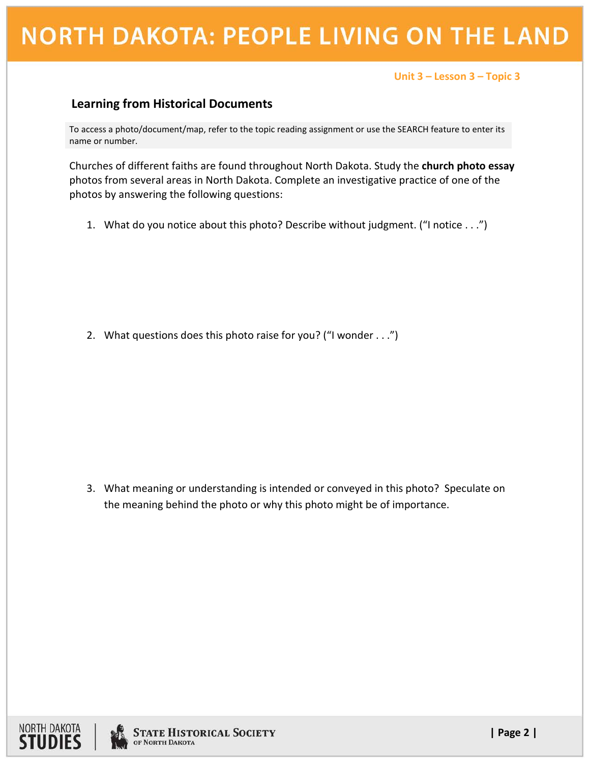# **NORTH DAKOTA: PEOPLE LIVING ON THE LAND**

#### **Unit 3 – Lesson 3 – Topic <sup>3</sup>**

### **Learning from Historical Documents**

To access a photo/document/map, refer to the topic reading assignment or use the SEARCH feature to enter its name or number.

Churches of different faiths are found throughout North Dakota. Study the **church photo essay** photos from several areas in North Dakota. Complete an investigative practice of one of the photos by answering the following questions:

1. What do you notice about this photo? Describe without judgment. ("I notice . . .")

2. What questions does this photo raise for you? ("I wonder . . .")

3. What meaning or understanding is intended or conveyed in this photo? Speculate on the meaning behind the photo or why this photo might be of importance.